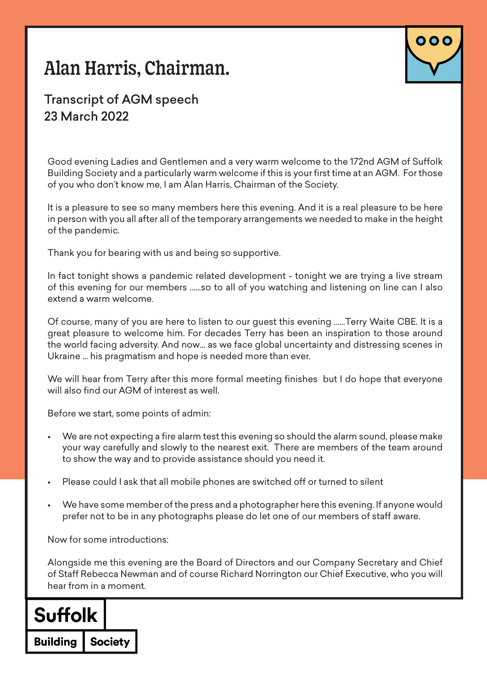# Alan Harris, Chairman.



### Transcript of AGM speech 23 March 2022

Good evening Ladies and Gentlemen and a very warm welcome to the 172nd AGM of Suffolk Building Society and a particularly warm welcome if this is your first time at an AGM. For those of you who don't know me, I am Alan Harris, Chairman of the Society.

It is a pleasure to see so many members here this evening. And it is a real pleasure to be here in person with you all after all of the temporary arrangements we needed to make in the height of the pandemic.

Thank you for bearing with us and being so supportive.

In fact tonight shows a pandemic related development - tonight we are trying a live stream of this evening for our members ……so to all of you watching and listening on line can I also extend a warm welcome.

Of course, many of you are here to listen to our guest this evening ……Terry Waite CBE. It is a great pleasure to welcome him. For decades Terry has been an inspiration to those around the world facing adversity. And now… as we face global uncertainty and distressing scenes in Ukraine … his pragmatism and hope is needed more than ever.

We will hear from Terry after this more formal meeting finishes but I do hope that everyone will also find our AGM of interest as well.

Before we start, some points of admin:

- We are not expecting a fire alarm test this evening so should the alarm sound, please make your way carefully and slowly to the nearest exit. There are members of the team around to show the way and to provide assistance should you need it.
- Please could I ask that all mobile phones are switched off or turned to silent
- We have some member of the press and a photographer here this evening. If anyone would prefer not to be in any photographs please do let one of our members of staff aware.

Now for some introductions:

Alongside me this evening are the Board of Directors and our Company Secretary and Chief of Staff Rebecca Newman and of course Richard Norrington our Chief Executive, who you will hear from in a moment.

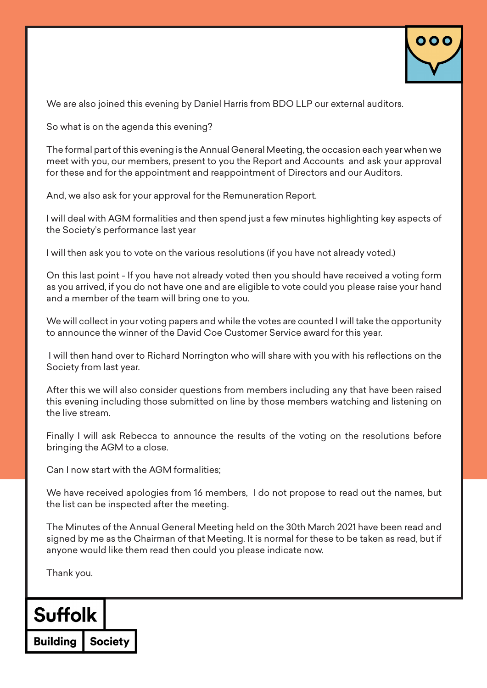

We are also joined this evening by Daniel Harris from BDO LLP our external auditors.

So what is on the agenda this evening?

The formal part of this evening is the Annual General Meeting, the occasion each year when we meet with you, our members, present to you the Report and Accounts and ask your approval for these and for the appointment and reappointment of Directors and our Auditors.

And, we also ask for your approval for the Remuneration Report.

I will deal with AGM formalities and then spend just a few minutes highlighting key aspects of the Society's performance last year

I will then ask you to vote on the various resolutions (if you have not already voted.)

On this last point - If you have not already voted then you should have received a voting form as you arrived, if you do not have one and are eligible to vote could you please raise your hand and a member of the team will bring one to you.

We will collect in your voting papers and while the votes are counted I will take the opportunity to announce the winner of the David Coe Customer Service award for this year.

 I will then hand over to Richard Norrington who will share with you with his reflections on the Society from last year.

After this we will also consider questions from members including any that have been raised this evening including those submitted on line by those members watching and listening on the live stream.

Finally I will ask Rebecca to announce the results of the voting on the resolutions before bringing the AGM to a close.

Can I now start with the AGM formalities;

We have received apologies from 16 members, I do not propose to read out the names, but the list can be inspected after the meeting.

The Minutes of the Annual General Meeting held on the 30th March 2021 have been read and signed by me as the Chairman of that Meeting. It is normal for these to be taken as read, but if anyone would like them read then could you please indicate now.

Thank you.

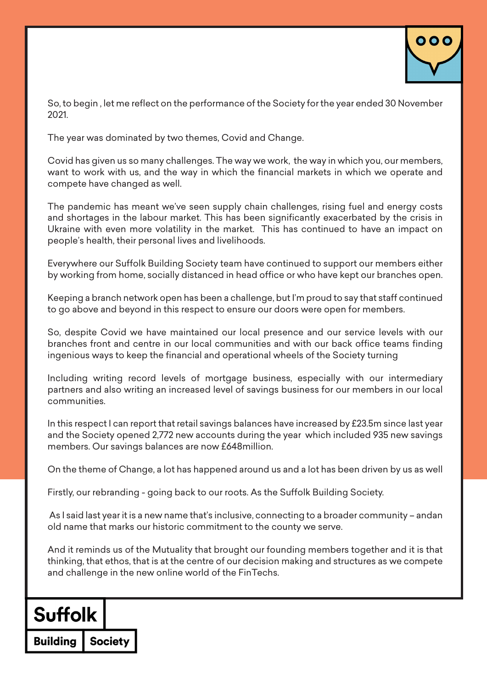

So, to begin , let me reflect on the performance of the Society for the year ended 30 November 2021.

The year was dominated by two themes, Covid and Change.

Covid has given us so many challenges. The way we work, the way in which you, our members, want to work with us, and the way in which the financial markets in which we operate and compete have changed as well.

The pandemic has meant we've seen supply chain challenges, rising fuel and energy costs and shortages in the labour market. This has been significantly exacerbated by the crisis in Ukraine with even more volatility in the market. This has continued to have an impact on people's health, their personal lives and livelihoods.

Everywhere our Suffolk Building Society team have continued to support our members either by working from home, socially distanced in head office or who have kept our branches open.

Keeping a branch network open has been a challenge, but I'm proud to say that staff continued to go above and beyond in this respect to ensure our doors were open for members.

So, despite Covid we have maintained our local presence and our service levels with our branches front and centre in our local communities and with our back office teams finding ingenious ways to keep the financial and operational wheels of the Society turning

Including writing record levels of mortgage business, especially with our intermediary partners and also writing an increased level of savings business for our members in our local communities.

In this respect I can report that retail savings balances have increased by £23.5m since last year and the Society opened 2,772 new accounts during the year which included 935 new savings members. Our savings balances are now £648million.

On the theme of Change, a lot has happened around us and a lot has been driven by us as well

Firstly, our rebranding - going back to our roots. As the Suffolk Building Society.

 As I said last year it is a new name that's inclusive, connecting to a broader community – andan old name that marks our historic commitment to the county we serve.

And it reminds us of the Mutuality that brought our founding members together and it is that thinking, that ethos, that is at the centre of our decision making and structures as we compete and challenge in the new online world of the FinTechs.

### **Suffolk**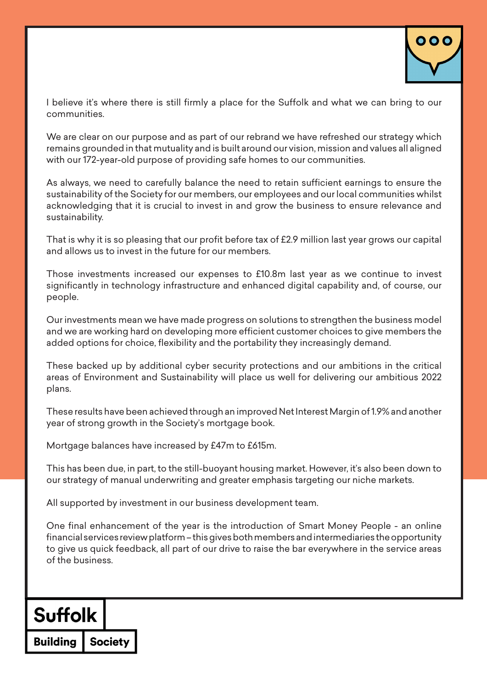

I believe it's where there is still firmly a place for the Suffolk and what we can bring to our communities.

We are clear on our purpose and as part of our rebrand we have refreshed our strategy which remains grounded in that mutuality and is built around our vision, mission and values all aligned with our 172-year-old purpose of providing safe homes to our communities.

As always, we need to carefully balance the need to retain sufficient earnings to ensure the sustainability of the Society for our members, our employees and our local communities whilst acknowledging that it is crucial to invest in and grow the business to ensure relevance and sustainability.

That is why it is so pleasing that our profit before tax of £2.9 million last year grows our capital and allows us to invest in the future for our members.

Those investments increased our expenses to £10.8m last year as we continue to invest significantly in technology infrastructure and enhanced digital capability and, of course, our people.

Our investments mean we have made progress on solutions to strengthen the business model and we are working hard on developing more efficient customer choices to give members the added options for choice, flexibility and the portability they increasingly demand.

These backed up by additional cyber security protections and our ambitions in the critical areas of Environment and Sustainability will place us well for delivering our ambitious 2022 plans.

These results have been achieved through an improved Net Interest Margin of 1.9% and another year of strong growth in the Society's mortgage book.

Mortgage balances have increased by £47m to £615m.

This has been due, in part, to the still-buoyant housing market. However, it's also been down to our strategy of manual underwriting and greater emphasis targeting our niche markets.

All supported by investment in our business development team.

One final enhancement of the year is the introduction of Smart Money People - an online financial services review platform – this gives both members and intermediaries the opportunity to give us quick feedback, all part of our drive to raise the bar everywhere in the service areas of the business.

### **Suffolk**

**Society Building**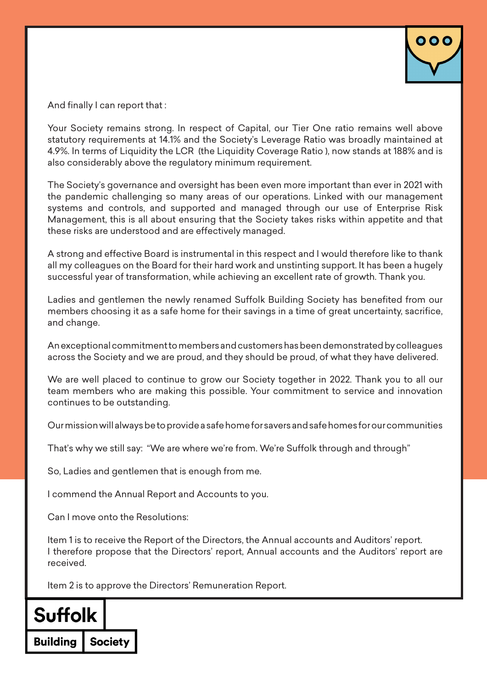

And finally I can report that :

Your Society remains strong. In respect of Capital, our Tier One ratio remains well above statutory requirements at 14.1% and the Society's Leverage Ratio was broadly maintained at 4.9%. In terms of Liquidity the LCR (the Liquidity Coverage Ratio ), now stands at 188% and is also considerably above the regulatory minimum requirement.

The Society's governance and oversight has been even more important than ever in 2021 with the pandemic challenging so many areas of our operations. Linked with our management systems and controls, and supported and managed through our use of Enterprise Risk Management, this is all about ensuring that the Society takes risks within appetite and that these risks are understood and are effectively managed.

A strong and effective Board is instrumental in this respect and I would therefore like to thank all my colleagues on the Board for their hard work and unstinting support. It has been a hugely successful year of transformation, while achieving an excellent rate of growth. Thank you.

Ladies and gentlemen the newly renamed Suffolk Building Society has benefited from our members choosing it as a safe home for their savings in a time of great uncertainty, sacrifice, and change.

An exceptional commitment to members and customers has been demonstrated by colleagues across the Society and we are proud, and they should be proud, of what they have delivered.

We are well placed to continue to grow our Society together in 2022. Thank you to all our team members who are making this possible. Your commitment to service and innovation continues to be outstanding.

Our mission will always be to provide a safe home for savers and safe homes for our communities

That's why we still say: "We are where we're from. We're Suffolk through and through"

So, Ladies and gentlemen that is enough from me.

I commend the Annual Report and Accounts to you.

Can I move onto the Resolutions:

Item 1 is to receive the Report of the Directors, the Annual accounts and Auditors' report. I therefore propose that the Directors' report, Annual accounts and the Auditors' report are received.

Item 2 is to approve the Directors' Remuneration Report.

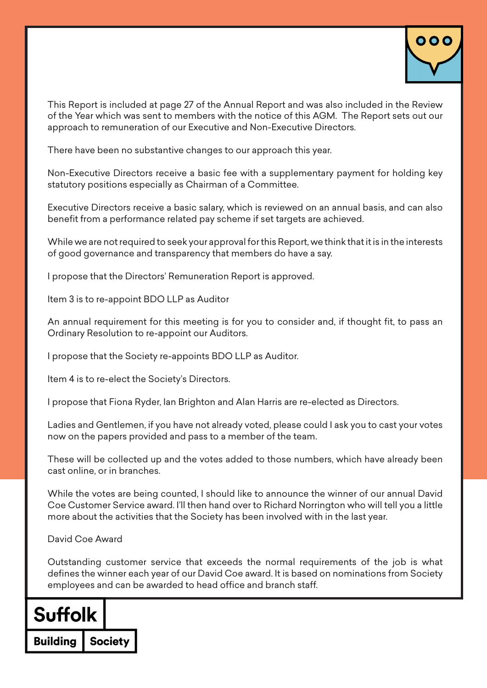

This Report is included at page 27 of the Annual Report and was also included in the Review of the Year which was sent to members with the notice of this AGM. The Report sets out our approach to remuneration of our Executive and Non-Executive Directors.

There have been no substantive changes to our approach this year.

Non-Executive Directors receive a basic fee with a supplementary payment for holding key statutory positions especially as Chairman of a Committee.

Executive Directors receive a basic salary, which is reviewed on an annual basis, and can also benefit from a performance related pay scheme if set targets are achieved.

While we are not required to seek your approval for this Report, we think that it is in the interests of good governance and transparency that members do have a say.

I propose that the Directors' Remuneration Report is approved.

Item 3 is to re-appoint BDO LLP as Auditor

An annual requirement for this meeting is for you to consider and, if thought fit, to pass an Ordinary Resolution to re-appoint our Auditors.

I propose that the Society re-appoints BDO LLP as Auditor.

Item 4 is to re-elect the Society's Directors.

I propose that Fiona Ryder, Ian Brighton and Alan Harris are re-elected as Directors.

Ladies and Gentlemen, if you have not already voted, please could I ask you to cast your votes now on the papers provided and pass to a member of the team.

These will be collected up and the votes added to those numbers, which have already been cast online, or in branches.

While the votes are being counted, I should like to announce the winner of our annual David Coe Customer Service award. I'll then hand over to Richard Norrington who will tell you a little more about the activities that the Society has been involved with in the last year.

David Coe Award

Outstanding customer service that exceeds the normal requirements of the job is what defines the winner each year of our David Coe award. It is based on nominations from Society employees and can be awarded to head office and branch staff.

# **Suffolk**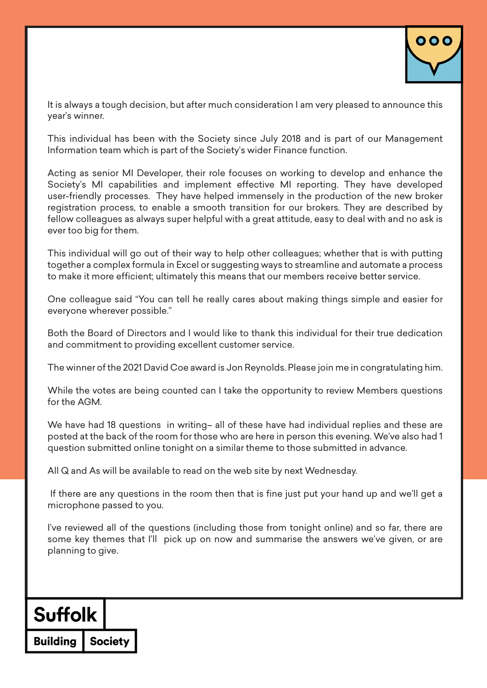

It is always a tough decision, but after much consideration I am very pleased to announce this year's winner.

This individual has been with the Society since July 2018 and is part of our Management Information team which is part of the Society's wider Finance function.

Acting as senior MI Developer, their role focuses on working to develop and enhance the Society's MI capabilities and implement effective MI reporting. They have developed user-friendly processes. They have helped immensely in the production of the new broker registration process, to enable a smooth transition for our brokers. They are described by fellow colleagues as always super helpful with a great attitude, easy to deal with and no ask is ever too big for them.

This individual will go out of their way to help other colleagues; whether that is with putting together a complex formula in Excel or suggesting ways to streamline and automate a process to make it more efficient; ultimately this means that our members receive better service.

One colleague said "You can tell he really cares about making things simple and easier for everyone wherever possible."

Both the Board of Directors and I would like to thank this individual for their true dedication and commitment to providing excellent customer service.

The winner of the 2021 David Coe award is Jon Reynolds. Please join me in congratulating him.

While the votes are being counted can I take the opportunity to review Members questions for the AGM.

We have had 18 questions in writing– all of these have had individual replies and these are posted at the back of the room for those who are here in person this evening. We've also had 1 question submitted online tonight on a similar theme to those submitted in advance.

All Q and As will be available to read on the web site by next Wednesday.

 If there are any questions in the room then that is fine just put your hand up and we'll get a microphone passed to you.

I've reviewed all of the questions (including those from tonight online) and so far, there are some key themes that I'll pick up on now and summarise the answers we've given, or are planning to give.

### **Suffolk**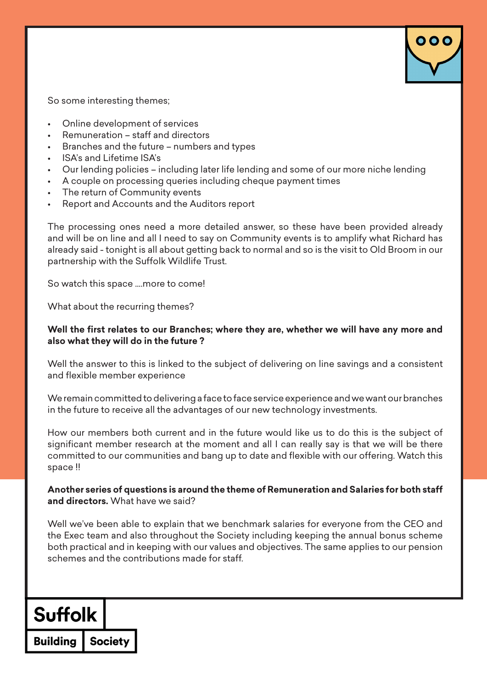

So some interesting themes;

- Online development of services
- Remuneration staff and directors
- Branches and the future numbers and types
- ISA's and Lifetime ISA's
- Our lending policies including later life lending and some of our more niche lending
- A couple on processing queries including cheque payment times
- The return of Community events
- Report and Accounts and the Auditors report

The processing ones need a more detailed answer, so these have been provided already and will be on line and all I need to say on Community events is to amplify what Richard has already said - tonight is all about getting back to normal and so is the visit to Old Broom in our partnership with the Suffolk Wildlife Trust.

So watch this space ….more to come!

What about the recurring themes?

#### **Well the first relates to our Branches; where they are, whether we will have any more and also what they will do in the future ?**

Well the answer to this is linked to the subject of delivering on line savings and a consistent and flexible member experience

We remain committed to delivering a face to face service experience and we want our branches in the future to receive all the advantages of our new technology investments.

How our members both current and in the future would like us to do this is the subject of significant member research at the moment and all I can really say is that we will be there committed to our communities and bang up to date and flexible with our offering. Watch this space !!

#### **Another series of questions is around the theme of Remuneration and Salaries for both staff and directors.** What have we said?

Well we've been able to explain that we benchmark salaries for everyone from the CEO and the Exec team and also throughout the Society including keeping the annual bonus scheme both practical and in keeping with our values and objectives. The same applies to our pension schemes and the contributions made for staff.

### **Suffolk**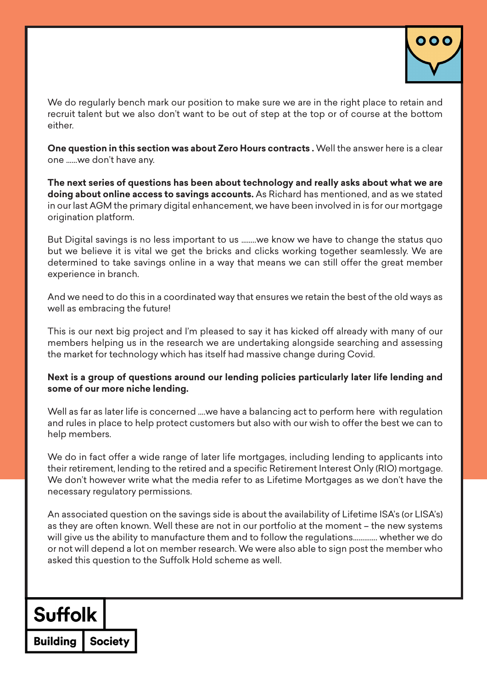

We do regularly bench mark our position to make sure we are in the right place to retain and recruit talent but we also don't want to be out of step at the top or of course at the bottom either.

**One question in this section was about Zero Hours contracts .** Well the answer here is a clear one ……we don't have any.

**The next series of questions has been about technology and really asks about what we are doing about online access to savings accounts.** As Richard has mentioned, and as we stated in our last AGM the primary digital enhancement, we have been involved in is for our mortgage origination platform.

But Digital savings is no less important to us ……..we know we have to change the status quo but we believe it is vital we get the bricks and clicks working together seamlessly. We are determined to take savings online in a way that means we can still offer the great member experience in branch.

And we need to do this in a coordinated way that ensures we retain the best of the old ways as well as embracing the future!

This is our next big project and I'm pleased to say it has kicked off already with many of our members helping us in the research we are undertaking alongside searching and assessing the market for technology which has itself had massive change during Covid.

#### **Next is a group of questions around our lending policies particularly later life lending and some of our more niche lending.**

Well as far as later life is concerned ….we have a balancing act to perform here with regulation and rules in place to help protect customers but also with our wish to offer the best we can to help members.

We do in fact offer a wide range of later life mortgages, including lending to applicants into their retirement, lending to the retired and a specific Retirement Interest Only (RIO) mortgage. We don't however write what the media refer to as Lifetime Mortgages as we don't have the necessary regulatory permissions.

An associated question on the savings side is about the availability of Lifetime ISA's (or LISA's) as they are often known. Well these are not in our portfolio at the moment – the new systems will give us the ability to manufacture them and to follow the regulations…………. whether we do or not will depend a lot on member research. We were also able to sign post the member who asked this question to the Suffolk Hold scheme as well.

# **Suffolk**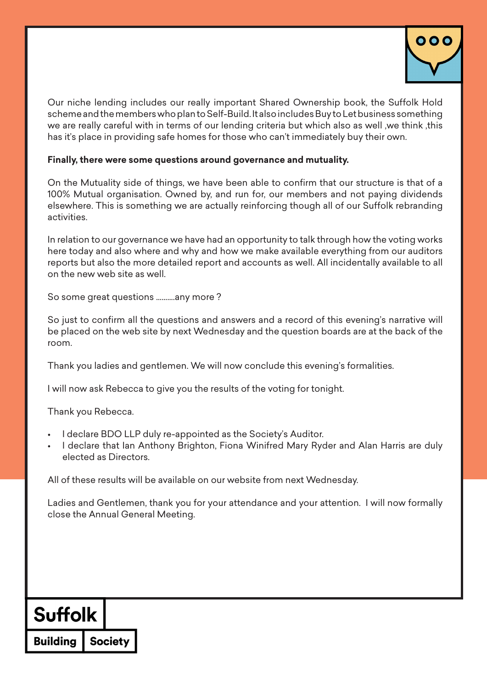

Our niche lending includes our really important Shared Ownership book, the Suffolk Hold scheme and the members who plan to Self-Build. It also includes Buy to Let business something we are really careful with in terms of our lending criteria but which also as well ,we think ,this has it's place in providing safe homes for those who can't immediately buy their own.

#### **Finally, there were some questions around governance and mutuality.**

On the Mutuality side of things, we have been able to confirm that our structure is that of a 100% Mutual organisation. Owned by, and run for, our members and not paying dividends elsewhere. This is something we are actually reinforcing though all of our Suffolk rebranding activities.

In relation to our governance we have had an opportunity to talk through how the voting works here today and also where and why and how we make available everything from our auditors reports but also the more detailed report and accounts as well. All incidentally available to all on the new web site as well.

So some great questions ……….any more ?

So just to confirm all the questions and answers and a record of this evening's narrative will be placed on the web site by next Wednesday and the question boards are at the back of the room.

Thank you ladies and gentlemen. We will now conclude this evening's formalities.

I will now ask Rebecca to give you the results of the voting for tonight.

Thank you Rebecca.

- I declare BDO LLP duly re-appointed as the Society's Auditor.
- I declare that Ian Anthony Brighton, Fiona Winifred Mary Ryder and Alan Harris are duly elected as Directors.

All of these results will be available on our website from next Wednesday.

Ladies and Gentlemen, thank you for your attendance and your attention. I will now formally close the Annual General Meeting.

### **Suffolk**